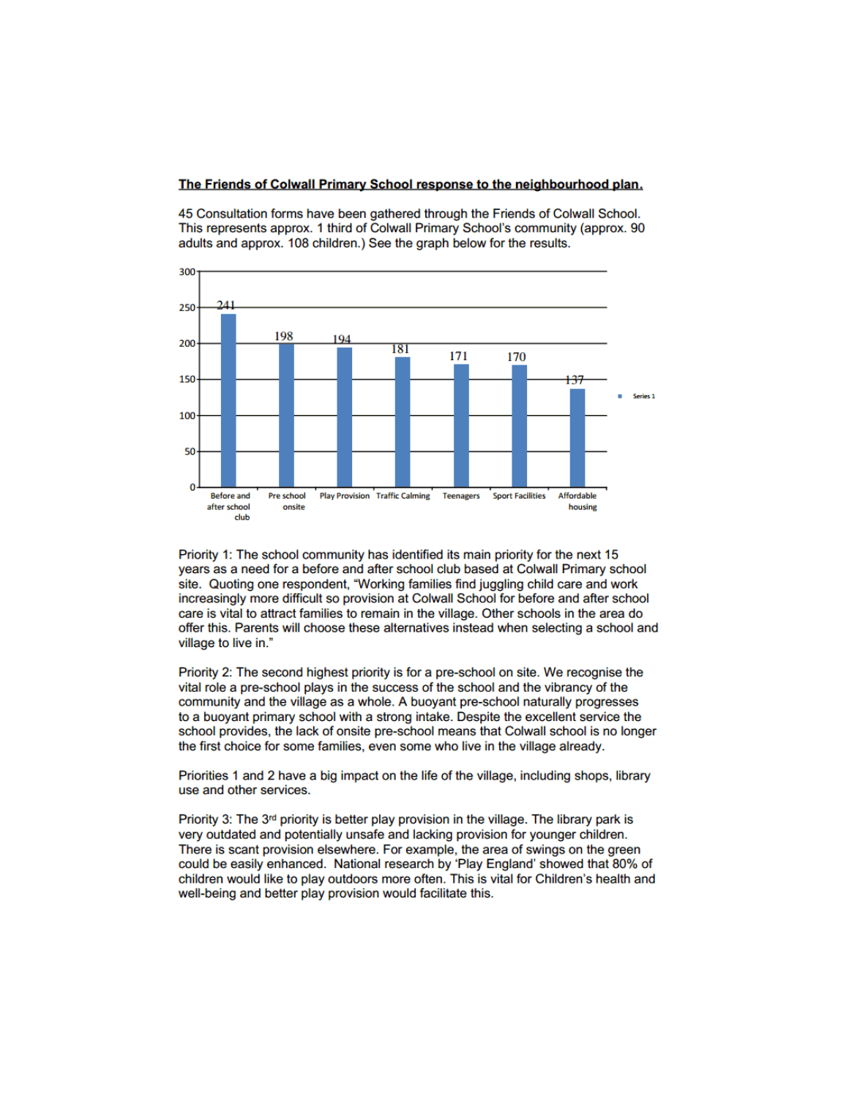## The Friends of Colwall Primary School response to the neighbourhood plan.

45 Consultation forms have been gathered through the Friends of Colwall School. This represents approx. 1 third of Colwall Primary School's community (approx. 90 adults and approx. 108 children.) See the graph below for the results.



Priority 1: The school community has identified its main priority for the next 15 years as a need for a before and after school club based at Colwall Primary school site. Quoting one respondent, "Working families find juggling child care and work increasingly more difficult so provision at Colwall School for before and after school care is vital to attract families to remain in the village. Other schools in the area do offer this. Parents will choose these alternatives instead when selecting a school and village to live in."

Priority 2: The second highest priority is for a pre-school on site. We recognise the vital role a pre-school plays in the success of the school and the vibrancy of the community and the village as a whole. A buoyant pre-school naturally progresses to a buoyant primary school with a strong intake. Despite the excellent service the school provides, the lack of onsite pre-school means that Colwall school is no longer the first choice for some families, even some who live in the village already.

Priorities 1 and 2 have a big impact on the life of the village, including shops, library use and other services.

Priority 3: The  $3<sup>rd</sup>$  priority is better play provision in the village. The library park is very outdated and potentially unsafe and lacking provision for younger children. There is scant provision elsewhere. For example, the area of swings on the green could be easily enhanced. National research by 'Play England' showed that 80% of children would like to play outdoors more often. This is vital for Children's health and well-being and better play provision would facilitate this.